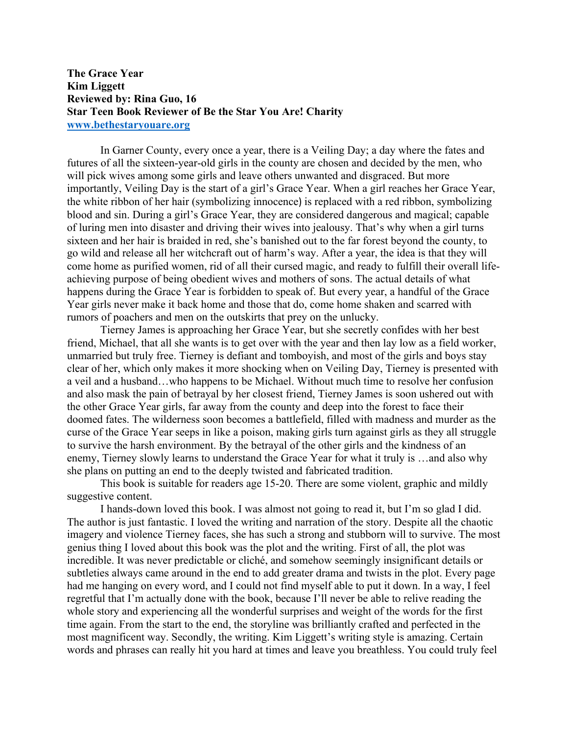**The Grace Year Kim Liggett Reviewed by: Rina Guo, 16 Star Teen Book Reviewer of Be the Star You Are! Charity www.bethestaryouare.org**

In Garner County, every once a year, there is a Veiling Day; a day where the fates and futures of all the sixteen-year-old girls in the county are chosen and decided by the men, who will pick wives among some girls and leave others unwanted and disgraced. But more importantly, Veiling Day is the start of a girl's Grace Year. When a girl reaches her Grace Year, the white ribbon of her hair (symbolizing innocence) is replaced with a red ribbon, symbolizing blood and sin. During a girl's Grace Year, they are considered dangerous and magical; capable of luring men into disaster and driving their wives into jealousy. That's why when a girl turns sixteen and her hair is braided in red, she's banished out to the far forest beyond the county, to go wild and release all her witchcraft out of harm's way. After a year, the idea is that they will come home as purified women, rid of all their cursed magic, and ready to fulfill their overall lifeachieving purpose of being obedient wives and mothers of sons. The actual details of what happens during the Grace Year is forbidden to speak of. But every year, a handful of the Grace Year girls never make it back home and those that do, come home shaken and scarred with rumors of poachers and men on the outskirts that prey on the unlucky.

Tierney James is approaching her Grace Year, but she secretly confides with her best friend, Michael, that all she wants is to get over with the year and then lay low as a field worker, unmarried but truly free. Tierney is defiant and tomboyish, and most of the girls and boys stay clear of her, which only makes it more shocking when on Veiling Day, Tierney is presented with a veil and a husband…who happens to be Michael. Without much time to resolve her confusion and also mask the pain of betrayal by her closest friend, Tierney James is soon ushered out with the other Grace Year girls, far away from the county and deep into the forest to face their doomed fates. The wilderness soon becomes a battlefield, filled with madness and murder as the curse of the Grace Year seeps in like a poison, making girls turn against girls as they all struggle to survive the harsh environment. By the betrayal of the other girls and the kindness of an enemy, Tierney slowly learns to understand the Grace Year for what it truly is …and also why she plans on putting an end to the deeply twisted and fabricated tradition.

This book is suitable for readers age 15-20. There are some violent, graphic and mildly suggestive content.

I hands-down loved this book. I was almost not going to read it, but I'm so glad I did. The author is just fantastic. I loved the writing and narration of the story. Despite all the chaotic imagery and violence Tierney faces, she has such a strong and stubborn will to survive. The most genius thing I loved about this book was the plot and the writing. First of all, the plot was incredible. It was never predictable or cliché, and somehow seemingly insignificant details or subtleties always came around in the end to add greater drama and twists in the plot. Every page had me hanging on every word, and I could not find myself able to put it down. In a way, I feel regretful that I'm actually done with the book, because I'll never be able to relive reading the whole story and experiencing all the wonderful surprises and weight of the words for the first time again. From the start to the end, the storyline was brilliantly crafted and perfected in the most magnificent way. Secondly, the writing. Kim Liggett's writing style is amazing. Certain words and phrases can really hit you hard at times and leave you breathless. You could truly feel